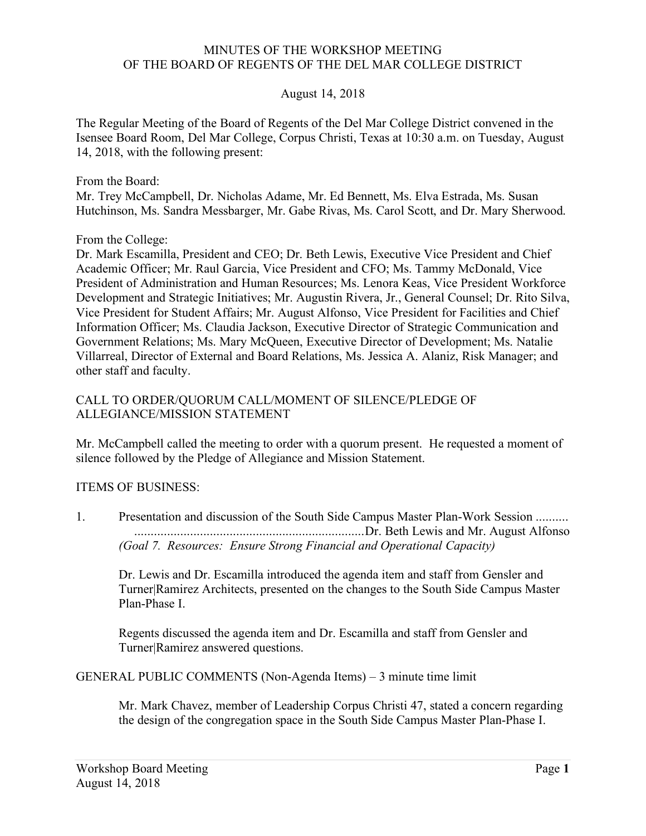## MINUTES OF THE WORKSHOP MEETING OF THE BOARD OF REGENTS OF THE DEL MAR COLLEGE DISTRICT

## August 14, 2018

 The Regular Meeting of the Board of Regents of the Del Mar College District convened in the Isensee Board Room, Del Mar College, Corpus Christi, Texas at 10:30 a.m. on Tuesday, August 14, 2018, with the following present:

From the Board:

 Mr. Trey McCampbell, Dr. Nicholas Adame, Mr. Ed Bennett, Ms. Elva Estrada, Ms. Susan Hutchinson, Ms. Sandra Messbarger, Mr. Gabe Rivas, Ms. Carol Scott, and Dr. Mary Sherwood.

From the College:

 Dr. Mark Escamilla, President and CEO; Dr. Beth Lewis, Executive Vice President and Chief Academic Officer; Mr. Raul Garcia, Vice President and CFO; Ms. Tammy McDonald, Vice President of Administration and Human Resources; Ms. Lenora Keas, Vice President Workforce Development and Strategic Initiatives; Mr. Augustin Rivera, Jr., General Counsel; Dr. Rito Silva, Vice President for Student Affairs; Mr. August Alfonso, Vice President for Facilities and Chief Information Officer; Ms. Claudia Jackson, Executive Director of Strategic Communication and Government Relations; Ms. Mary McQueen, Executive Director of Development; Ms. Natalie Villarreal, Director of External and Board Relations, Ms. Jessica A. Alaniz, Risk Manager; and other staff and faculty.

## CALL TO ORDER/QUORUM CALL/MOMENT OF SILENCE/PLEDGE OF ALLEGIANCE/MISSION STATEMENT

 Mr. McCampbell called the meeting to order with a quorum present. He requested a moment of silence followed by the Pledge of Allegiance and Mission Statement.

## ITEMS OF BUSINESS:

 1. Presentation and discussion of the South Side Campus Master Plan-Work Session ..........  *(Goal 7. Resources: Ensure Strong Financial and Operational Capacity)*  ......................................................................Dr. Beth Lewis and Mr. August Alfonso

 Dr. Lewis and Dr. Escamilla introduced the agenda item and staff from Gensler and Turner|Ramirez Architects, presented on the changes to the South Side Campus Master Plan-Phase I.

 Regents discussed the agenda item and Dr. Escamilla and staff from Gensler and Turner|Ramirez answered questions.

GENERAL PUBLIC COMMENTS (Non-Agenda Items) – 3 minute time limit

 Mr. Mark Chavez, member of Leadership Corpus Christi 47, stated a concern regarding the design of the congregation space in the South Side Campus Master Plan-Phase I.